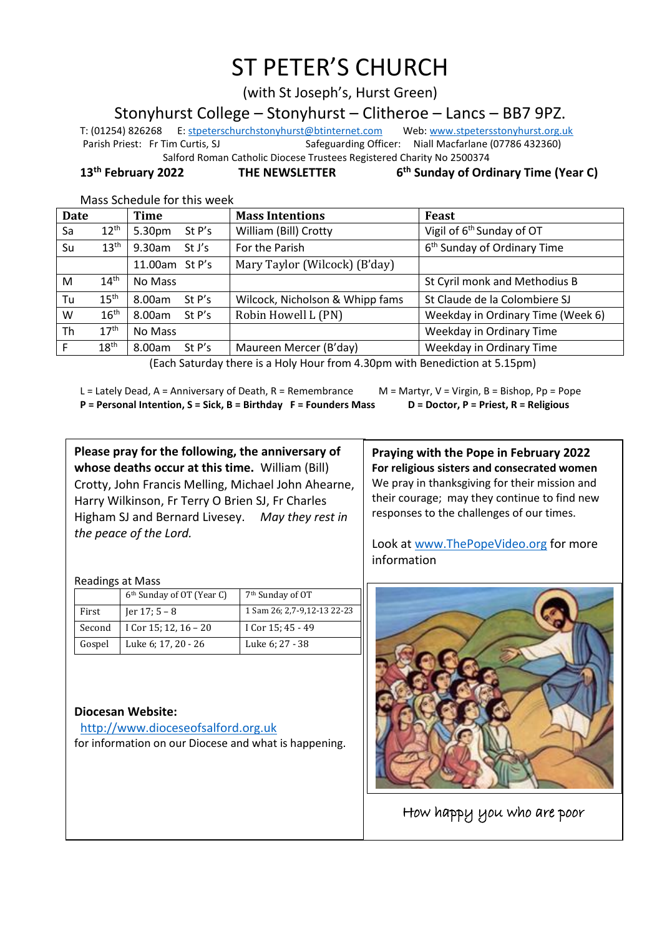# ST PETER'S CHURCH

(with St Joseph's, Hurst Green)

Stonyhurst College – Stonyhurst – Clitheroe – Lancs – BB7 9PZ.

T: (01254) 826268 E[: stpeterschurchstonyhurst@btinternet.com](mailto:stpeterschurchstonyhurst@btinternet.com) Web[: www.stpetersstonyhurst.org.uk](http://www.stpetersstonyhurst.org.uk/) Parish Priest: Fr Tim Curtis, SJ Safeguarding Officer: Niall Macfarlane (07786 432360) Salford Roman Catholic Diocese Trustees Registered Charity No 2500374

**13th February 2022 THE NEWSLETTER 6**

**th Sunday of Ordinary Time (Year C)**

Mass Schedule for this week

| <b>Date</b> |                  | Time             | <b>Mass Intentions</b>          | Feast                                   |
|-------------|------------------|------------------|---------------------------------|-----------------------------------------|
| Sa          | $12^{\text{th}}$ | 5.30pm<br>St P's | William (Bill) Crotty           | Vigil of 6 <sup>th</sup> Sunday of OT   |
| Su          | $13^{\text{th}}$ | 9.30am<br>St J's | For the Parish                  | 6 <sup>th</sup> Sunday of Ordinary Time |
|             |                  | 11.00am St P's   | Mary Taylor (Wilcock) (B'day)   |                                         |
| M           | 14 <sup>th</sup> | No Mass          |                                 | St Cyril monk and Methodius B           |
| Tu          | 15 <sup>th</sup> | 8.00am<br>St P's | Wilcock, Nicholson & Whipp fams | St Claude de la Colombiere SJ           |
| W           | 16 <sup>th</sup> | 8.00am<br>St P's | Robin Howell L (PN)             | Weekday in Ordinary Time (Week 6)       |
| Th          | 17 <sup>th</sup> | No Mass          |                                 | Weekday in Ordinary Time                |
|             | 18 <sup>th</sup> | 8.00am<br>St P's | Maureen Mercer (B'day)          | Weekday in Ordinary Time                |

(Each Saturday there is a Holy Hour from 4.30pm with Benediction at 5.15pm)

l

L = Lately Dead, A = Anniversary of Death, R = Remembrance M = Martyr, V = Virgin, B = Bishop, Pp = Pope **P = Personal Intention, S = Sick, B = Birthday F = Founders Mass D = Doctor, P = Priest, R = Religious**

**Please pray for the following, the anniversary of whose deaths occur at this time.** William (Bill) Crotty, John Francis Melling, Michael John Ahearne, Harry Wilkinson, Fr Terry O Brien SJ, Fr Charles Higham SJ and Bernard Livesey. *May they rest in the peace of the Lord.*

**Praying with the Pope in February 2022 For religious sisters and consecrated women** We pray in thanksgiving for their mission and their courage; may they continue to find new responses to the challenges of our times.

Look at www.ThePopeVideo.org for more information



How happy you who are poor

Readings at Mass

|        | 6 <sup>th</sup> Sunday of OT (Year C) | 7 <sup>th</sup> Sunday of OT |  |  |
|--------|---------------------------------------|------------------------------|--|--|
| First  | Jer $17; 5 - 8$                       | 1 Sam 26; 2,7-9,12-13 22-23  |  |  |
| Second | I Cor 15; 12, $16 - 20$               | I Cor 15; 45 - 49            |  |  |
| Gospel | Luke 6; 17, 20 - 26                   | Luke 6; 27 - 38              |  |  |

## **Diocesan Website:**

http://www.dioceseofsalford.org.uk for information on our Diocese and what is happening.